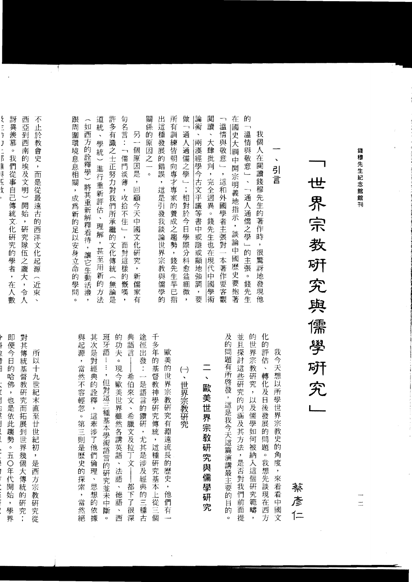| ↘<br>引言                                                                                                                                                                                      | 我<br>$\Leftrightarrow$<br>天<br>想以所學世<br>界<br>宗<br>教<br>史的角度<br>一,來看!<br>看<br>中國文                                                                                                                                            |
|----------------------------------------------------------------------------------------------------------------------------------------------------------------------------------------------|-----------------------------------------------------------------------------------------------------------------------------------------------------------------------------------------------------------------------------|
| 我<br>個<br>人<br>在<br>閲<br>讀<br>錢<br>穆先生的<br>著<br>作<br>時<br>,<br>很<br>驚<br>訝<br>地<br>發<br>現<br>他                                                                                               | 化<br>的<br>評<br>估<br>$\bar{\phantom{a}}$<br>轉<br>化<br>及日<br>後發<br>展<br>的<br>問<br>題<br>$\circ$<br>我<br>想先<br>談<br>現<br>在<br>西<br>方                                                                                            |
| 的<br>— 1<br>溫<br>情<br>與<br>敬<br>意<br>$\overline{\phantom{a}}$<br>$\ddot{\phantom{0}}$<br>—۱<br>通<br>人通儒<br>≒之學 」<br>的<br>主<br>張<br>$\circ$<br>錢<br>先<br>生                                    | 並<br>的<br>世<br>H<br>探<br>界<br>宗<br>討<br>這<br>教<br>些<br>硏<br>硏<br>究<br>究<br>$\overline{\phantom{a}}$<br>的<br>以<br>内<br>及儒<br>涵<br>及其方法<br>學<br>如<br>何<br>被納<br>,是否對<br>入這個<br>硏<br>我<br>究<br>們<br>範<br>前<br>疇<br>面<br>提<br>, |
| 在<br>國<br>史大<br>綱<br>中<br>開<br>宗<br>明<br>義<br>地指示<br>,<br>談<br>論<br>中<br>國<br>歴<br>史<br>要<br>抱<br>著                                                                                          |                                                                                                                                                                                                                             |
| ᄀ<br>溫<br>情<br>與<br>敬<br>意<br>$\overline{\phantom{a}}$<br>,<br>這<br>和<br>外<br>國<br>「學者」<br>主<br>張<br>對<br>$\bigstar$<br>著<br>作<br>要<br>客<br>觀                                                | 及的<br>問題有所啓發<br>,這是我<br>今天這篇演講最主<br> 要的<br>目的<br>o                                                                                                                                                                          |
| 閲<br>讀<br>×,<br>大<br>肆<br>批<br>判<br>$\ddot{\phantom{0}}$<br>完<br>全<br>迥<br>異<br>$\circ$<br>錢<br>先<br>生<br>也<br>在<br>現代中國<br>學<br>術                                                           | $\ddot{\phantom{0}}$<br>歐<br>一美世一<br>界<br>宗教研究與儒學研究                                                                                                                                                                         |
| ⊯<br>淅<br>$\ddot{\phantom{0}}$<br>兩<br>漢<br>經學今古<br>文<br>平<br>議等<br>書<br>ヰ<br>或<br>隱<br>一或顯地:<br>強<br>調<br>,<br>要                                                                            |                                                                                                                                                                                                                             |
| 做<br>$\overline{\phantom{0}}$<br>通<br>Ā<br>通<br>儒<br>之學一;相對於今日<br>學際<br>$\overline{\mathcal{D}}$<br>科<br>:愈益<br>細<br>微<br>y                                                                  | $\left(\!\!-\!\!\right)$<br>N<br>世界宗教研<br>究                                                                                                                                                                                 |
| 所<br>有<br>訓<br>練<br>皆<br>朝<br>向<br>專<br>才<br>專<br>家<br>的<br>養<br>成<br>芝<br>趨<br>勢<br>$\bar{\mathbf{y}}$<br>錢<br>先<br>生早已<br>指                                                                | 美<br>世<br>他們<br>有                                                                                                                                                                                                           |
| 出<br>這<br>種<br>發<br>展<br>的<br>錯<br>謨<br>$\bar{\textbf{y}}$<br>這<br>是<br>引<br>發<br>我<br>談<br>論<br>世界宗<br>教<br>與儒<br>學<br>的                                                                    | 歐<br>的<br>界宗教研究<br>有<br>淵遠流長的歷史,                                                                                                                                                                                            |
| 關<br>係<br>的<br>原<br>因<br>之<br>o                                                                                                                                                              | 千<br>多年<br>的<br>基<br>督<br>教<br>神<br>學研究<br>傅<br>統<br><br>這<br>種<br>研究基<br>本<br>上從三個                                                                                                                                         |
| 另<br>個<br>原<br>因<br>是<br>$\pmb{\mathrm{y}}$<br>回<br>顧<br>今天<br>中<br>國<br> 文化研<br>究<br>$\pmb{\cdot}$<br>新<br>儒<br>家<br>有                                                                      | 途<br>徑<br>出<br>發<br>$\ddot{\cdot}$<br>是<br>語<br>Ē<br>的<br>鑽<br>硏<br>,<br>尤其是涉及經<br>典<br>的三<br>種<br>古                                                                                                                        |
| 句<br>名言:<br>$\overline{\phantom{0}}$<br>儒<br>門<br>淡<br>薄<br>$\pmb{\mathfrak{z}}$<br>收<br>拾<br>不<br>住<br>$\overline{\phantom{a}}$<br>$^\star$<br>面<br>對<br>這<br>樣<br>的<br>慨<br>嘆<br>$\bullet$ | 典<br>語<br>言<br>希<br>伯<br>來<br>文<br>$\hat{\mathbf{v}}$<br>希<br>臘文及拉丁文 <br>都<br>下了<br>很<br>深                                                                                                                                  |
| 許<br>多有<br>識之士<br>正<br>努力<br>對<br>我<br>們<br>所<br>承<br>繼<br>的<br>文<br>ÏË<br>傳<br>統<br>$\overline{\phantom{0}}$<br>無論<br>是                                                                     | 的<br>功<br>夫<br>$\circ$<br>現<br>今歐美世<br>一界雖<br>然各講英語<br>一、法語<br>$\ddot{\phantom{0}}$<br>德<br>語<br>$\checkmark$<br>西                                                                                                          |
| 道<br>統<br>$\ddot{\phantom{1}}$<br>學<br>統一<br>進行<br>重<br>一新評<br>估<br>$\bar{\mathbf{v}}$<br>理<br>解<br>$\overline{\phantom{a}}$<br>甚<br>至<br>用<br>新<br>的<br>方<br>法                              | 班<br>牙<br>語<br>÷<br>$\vdots$<br>,<br>但對這三種<br>基<br>本學術語言的研究並未<br>中<br>斷<br>$\circ$                                                                                                                                          |
| ∽<br>如<br>西<br>方<br>的<br>詮釋學<br>將其重新解釋看待<br>,讓它生動<br>活<br>潑<br>,                                                                                                                             | 其<br>次<br>是<br>對<br>經<br>典<br>的<br>: 詮釋<br>;<br>這<br>牽涉了他們倫理<br>$\ddot{\phantom{1}}$<br>思<br>想的<br>依<br>據                                                                                                                   |
| 跟<br>周<br>圍<br>環境息息相<br>關<br>,<br>成為<br>新的足以安身立命<br>的<br>學問<br>$\circ$                                                                                                                       | 與<br>起<br>源<br>$\pmb{\bar{y}}$<br>當<br> 然不 <br>容<br>一輕忽<br>$\circ$<br>第三<br>則是歷史的探<br>…<br>索<br>,<br>當<br> 然絕                                                                                                               |

錢穆先生紀念館館刊

研 一究與 儒 學 可所究

 $\begin{array}{c} \hline \end{array}$ 

ł,

世界宗

教

蔡彦  $\left( =\right)$ 

 $\equiv$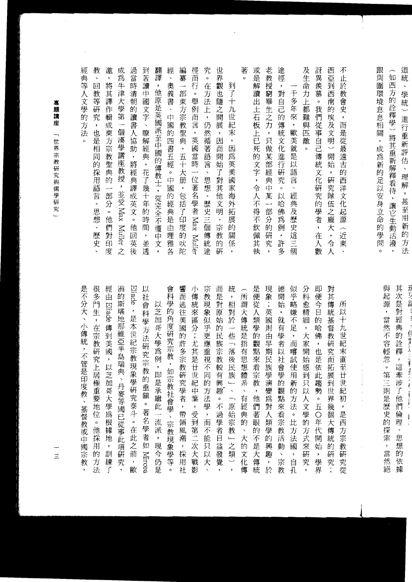|        | 典       |        |
|--------|---------|--------|
|        | 等       | $\Box$ |
|        |         | 教      |
| 蓴      | Ý       | 等      |
| 題      | 學       | 硏      |
| 韝      | 的       | 究      |
| 座      | 方       | ,      |
|        | 法       | 也      |
| 世      | $\circ$ | 是      |
| 界      |         | 相      |
| 宗      |         | 同      |
| 教      |         | 的      |
| 硏      |         | 採      |
| 究      |         | 用      |
| 與      |         |        |
| 儒      |         | 語      |
| 學<br>硏 |         | 言      |
|        |         |        |
| 究<br>٠ |         | 思      |
|        |         |        |

激 成 過 到 翻 經

將

其

譯

作

輯

成

東方宗教聖典

的

部分

 $\circ$ 

他

們

對印

度

想

 $\ddot{\phantom{1}}$ 

歷

史

篇牛津

一大學

第一

個漢學

講

教授

 $\bar{\mathbf{z}}$ 

並受 Nax

Keiler 之

當 苦 譯

時

清

朝

的

讀

言

 $\bar{\lambda}$ 瞭

協 解

助 經

 $\,$ 座 將

經

黃

譯

成英文

 $\circ$ 

他 間

回  $\overline{\phantom{a}}$ 

英 並

後

讀

中國文字、

典

 $\overline{\phantom{a}}$ 

花了幾十年的

時

透

 $\lambda$ 

他原是英國派至中國的傳教士,從完全不懂中

經 教

Ш.

 $\ddot{\phantom{0}}$  $\overline{\phantom{a}}$ 

編 徑 究 世

纂 而

 $\sim$ 

部

東方宗教

页

 $\overline{\phantom{a}}$ 

五十

大册

 $\overline{\phantom{a}}$ 

包括了

印

的

庆陀

 $\ddot{\phantom{1}}$ 

奧義書

 $\ddot{\phantom{1}}$ 

中國

的 聖

!四書五經。中國的

經

一典是

由 度

理

各

文 雅

 $\overline{\phantom{a}}$ 

老 途

徑

 $\,$ 

的 來 難 們

傳

文化

進

行

研

究

 $\circ$  $\bar{\mathbf{v}}$ 

以

哈

佛

爲

例

 $\cdot$ 

多 個

千多年 對自己

 $\overline{\phantom{a}}$ 

歐美就是以

語

言

經

一典及

歷

英這

教授窮畢

Ç, 統

只做某部經

黄

 $\widehat{\mathfrak{p}}$ 

某

部

 $\ddot{\partial}$ 

 $\ddot{\phantom{1}}$ 

完解

讀

出

王石 生之力

板

上已死的文字,

令人不得

不

欽 的

佩 研

其 究 許 Ξ

埶

荖 或

 $\circ$ 

奡

一隨之開

 $\bar{\rm{}}$ 

因  $\bar{\mathbf{y}}$ 

而

 $\overline{J}$ 

砸 海

文明 歼

 $\bar{\mathbf{v}}$ 

到

 $\frac{1}{2}$ 

九世

茉

因

為英美國家

拓

展

的

關

 $\overline{\phantom{a}}$ 

 $\circ$ 

在 觀也

万法

 $\pm$ 

 $\bar{\mathbf{z}}$ 

3然循

著

語 開

言 始

 $\bar{\mathbf{v}}$ 

思想 對其

 $\hat{\mathcal{S}}$ 歷

史三

偭 宗

傳 敦

統 的 係

涂 研

行

 $\circ$ 

舉

例

而

言  $\overline{v}$ 展 紀

 $\rightarrow$ 

英國

口當時

位著名學者 Max Muller

及 訝

公生命

力

 $\overline{\mathbb{F}}$ 

都 我

範

pc

敵

 $\circ$ 

西 不

三亞到

र्म्प

南

的

1埃及

(文明

 $\sim$ 

開

始

 $\overline{\phantom{a}}$ 

研究隊

伍

二之龐

 $\bar{\mathbf{z}}$ 

東

止於教會史,而是從最遠古的西洋文化起源

的異羨慕

 $\circ$ 

從事自己傳

統

文化

研

究的

一學者

 $\overline{\phantom{a}}$ 大  $\overline{\phantom{1}}$ 近

在

 $\lambda$ 令

數  $\lambda$ 

 $\equiv$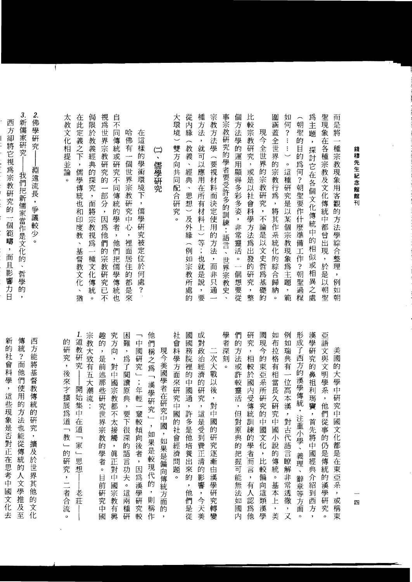| तित्त<br>是<br>將<br>—⊶<br>種<br>錢穆先生紀念館館刊<br>宗<br>教<br>現<br>象<br>用<br>客<br>觀<br>的<br>方<br>法<br>學綜<br>合<br>整<br>理<br>例<br>如<br>朝                                                           |
|-----------------------------------------------------------------------------------------------------------------------------------------------------------------------------------------|
| 聖<br>現<br>象<br>在<br>各種宗教及文化傳統中都曾出<br>現<br>$\bar{\mathbf{y}}$<br>於<br>是<br>以<br>朝<br>聖                                                                                                   |
| 爲<br>主<br>題<br>,<br>探<br>討<br>1它<br>在<br>各個文化傳統<br>中的<br>相<br>似<br>或<br>相<br>異<br>之<br>處                                                                                                |
| 朝<br>聖<br>的<br>目的為<br>何?朝聖要作什麼準備<br>$\overline{L}$<br>作<br>$\ddot{\cdot}$<br>朝<br>聖<br>過<br>程                                                                                           |
| 如<br>何<br>$\ddot{\mathcal{E}}$<br>$\ddot{\ddot{\cdot}}$<br>$\vdots$<br>$\overline{\phantom{0}}$<br>$\circ$<br>這<br>種<br>研究是以某<br>個宗<br>教<br>現<br>象<br>蔦<br>主<br>題<br>$\pmb{\cdot}$<br>範 |
| 肁<br>涵<br>蓋<br>全<br>世界的<br>宗教行為<br>$\cdot$<br>將其作系<br>統<br>化<br>的<br>綜<br>合<br>歸<br>納<br>$\circ$                                                                                        |
| 現<br>$\Leftrightarrow$<br>全世界<br>的宗教研究<br>,不論是<br>以<br>文<br>(史哲<br>爲<br>基<br>礎<br>的                                                                                                     |
| 比<br>較<br>宗<br>教<br>硏<br>究<br>$\cdot$<br>或是<br>以社會科學方法<br>寪<br>出<br>發的<br>硏<br>究<br>$\pmb{\cdot}$<br>整                                                                                  |
| 個<br>方<br>法<br>學的運用顯得多彩多姿<br>,非常靈活<br>$\circ$<br>$\overline{\phantom{a}}$<br>個<br>想<br>要從                                                                                               |
| 事宗<br>教<br>硏<br>究<br>的學者要受許多的訓練:<br>・語言、<br>世界<br>宗<br>教<br>史                                                                                                                           |
| 宗<br>教<br>方<br>法<br>學<br>(要視材料而決定使用<br>的方法<br>$\boldsymbol{\beta}$<br>而<br>非<br>只<br>通                                                                                                  |
| 種<br>方<br>法<br>,<br>就<br>可<br>以應<br>用<br>在所有材料<br>$\pm$<br>$\overline{\phantom{0}}$<br>等<br>$\ddot{\cdot}$<br>也<br>就<br>是<br>說<br>$\,$<br>要                                             |
| 從<br>內<br>緣<br>∼<br>教義<br>$\boldsymbol{\checkmark}$<br>經<br>典<br>Ń<br>思<br>想<br>$\overline{\phantom{0}}$<br>及<br>外<br>緣<br>$\overline{\phantom{1}}$<br>例<br>如宗<br>教所<br>處<br>的          |
| 大<br>環<br>境<br>雙方<br>向<br>,共同<br>配合<br>硏<br>究<br>o                                                                                                                                      |
| $\left( \right)$<br>$\mathbf{v}$<br>儒學研究                                                                                                                                                |
| 在<br>這<br>様<br>的<br>學<br>術<br>環境下<br>$\pmb{\cdot}$<br>儒<br>學<br>硏<br>究<br>被定<br>位<br>於<br>何<br>處<br>S.                                                                                  |
| 哈<br>佛<br>有<br>個<br>世<br>界<br>宗<br>教<br>硏<br>究<br>中<br>心<br>$\pmb{\cdot}$<br>裡<br>面<br>居<br>住<br>的<br>都<br>是<br>來                                                                       |
| 自<br>不<br>同<br>傳<br>統<br>或<br>硏<br>究<br>不<br>同<br>傳<br>統<br>的<br>學<br>者<br>$\pmb{\cdot}$<br>他<br>們<br>把<br>儒<br>學<br>傳<br>統<br>也                                                        |
| 視<br>爲<br>世<br>界<br>宗<br>教<br>硏<br>究<br>的<br>-<br>部<br>分<br>$\pmb{\cdot}$<br>因<br>爲<br>他<br>們<br>的<br>宗<br>教<br>硏<br>究<br>Ē<br>不                                                        |
| 侷<br>限<br>於<br>教<br>義<br>經<br>典的<br>探<br>究<br>y<br>तीत<br>將<br>宗<br>教<br>視<br>爲<br>$\overline{\phantom{0}}$<br>種<br>文<br>化<br>傳<br>統<br>$\circ$                                         |
| 在<br>此<br>定<br>義之下<br>$\pmb{\cdot}$<br>儒<br>學<br>傳<br>統<br>也<br>和<br>印度教<br>$\tilde{\mathbf{x}}$<br>基督教文<br>化<br>$\checkmark$<br>猶                                                      |
| 太<br>教<br>文<br>化<br>相<br>提<br>並<br>論<br>$\circ$                                                                                                                                         |

| 1.<br>道<br>的<br>教<br>硏<br>硏<br>究<br>究<br>$\cdot$<br>後<br>來才<br>開<br>始<br>擴<br>展<br>集<br>中<br>爲<br>在<br>道<br>道<br>$\overline{\phantom{m}}$<br>教<br>$\overline{\phantom{0}}$<br>家<br>$\overline{\phantom{a}}$<br>的<br>$\leftarrow$<br>思<br>研<br>想<br>究<br>$\rightarrow$<br>者<br>老<br>莊<br>合<br>流<br>$\circ$ |
|-----------------------------------------------------------------------------------------------------------------------------------------------------------------------------------------------------------------------------------------------------------------------------------------------------------|
| 宗<br>教<br>大<br>致有<br>$\overline{h}$<br>大<br>潮<br>流                                                                                                                                                                                                                                                        |
| 趣<br>的<br>,<br>是<br>前<br>述<br>那<br>些<br>硏<br>究<br>世<br>界<br>宗<br>教<br>的<br>學<br>者<br>$\circ$<br>日<br>前<br>硏<br>究<br>中<br>國                                                                                                                                                                                |
| 究<br>方<br>向<br>,<br>對<br>中<br>國<br>宗<br>教<br>都<br>不<br>太<br>接<br>觸<br>$\, ,$<br>眞<br>IE<br>對<br>中<br>國<br>宗<br>教<br>有<br>興                                                                                                                                                                                |
| 困<br>難<br>$\pmb{\gamma}$<br>爲<br>了<br>閲<br>讀原<br>典<br>y,<br>要下<br>很<br>深<br>的<br>語言<br>功<br>夫<br>$\circ$<br>這<br>兩<br>種<br>研                                                                                                                                                                              |
| 中<br>國<br>硏<br>究<br>一;年<br>輕<br>---<br>輩<br>較<br>傾<br>向<br>後<br>者<br>$\bullet$<br>因<br>爲<br>漢<br>學<br>硏<br>究<br>較                                                                                                                                                                                         |
| 他<br>們<br>稱<br>之爲<br>「漢學研<br>究<br>$\overline{\phantom{a}}$<br>$\overline{\phantom{a}}$<br>如<br>果是較<br>現<br>代<br>的<br>$\pmb{\cdot}$<br>則<br>稱<br>作                                                                                                                                                         |
| 現今美國學者在研究中國<br>$\overline{\phantom{a}}$<br>如果是偏<br>向傳統<br>方<br>面<br>的<br>,                                                                                                                                                                                                                                |
| 社<br>會<br>科<br>學<br>方<br>面<br>來<br>硏<br>究<br>.<br>中<br>國<br>的<br>社<br>會<br>經<br>濟<br>問<br>題<br>$\circ$                                                                                                                                                                                                    |
| 國<br>國<br>務<br>院<br>裡<br>的<br>中<br>國<br>通<br>$\, ,$<br>許<br>多<br>是<br>他<br>培養<br>出<br>來<br>的<br>$\,$<br>他<br>們<br>是<br>從                                                                                                                                                                                  |
| 成<br>對<br>政<br>治<br>經<br>濟<br>的<br>硏<br>究<br>$\bar{z}$<br>這<br>是<br>受<br>到<br>費<br>IE<br>清<br>的<br>影<br>響<br>$\overline{\phantom{a}}$<br>今<br>天<br>美                                                                                                                                                      |
| ニ<br>次<br>大<br>戰<br>以<br>後<br>$\pmb{\cdot}$<br>對<br>中<br>國<br>的<br>硏<br>究<br>逐<br>漸<br>由<br>漢<br>學<br>硏<br>究<br>轉<br>變                                                                                                                                                                                    |
| 學<br>者<br>深<br>刻<br>$\circ$                                                                                                                                                                                                                                                                               |
| 們<br>的<br>方<br>法<br>或<br>許<br>較<br>靈<br>活<br>$\,$<br>但<br>對<br>原<br>典<br>的<br>把<br>握<br>可<br>能<br>無<br>法<br>如<br>或<br>内                                                                                                                                                                                   |
| 硏<br>究<br>,<br>相<br>較<br>於<br>國<br>内<br>受<br>傳<br>統<br>訓<br>練<br>的<br>學者而<br>言<br>$\cdot$<br>有<br>人<br>認<br>爲<br>他                                                                                                                                                                                        |
| 國<br>現<br>今<br>的<br>東<br>弫<br>系<br>所<br>硏<br>究<br>的<br>中<br>國<br>文<br>化<br>$\,$<br>比<br>較<br>偏<br>向<br>這<br>類<br>漢<br>學                                                                                                                                                                                   |
| 如<br>布<br>拉<br>格<br>有<br>相<br>當長<br>久<br>硏<br>究<br>中<br>國<br>小<br>說<br>的<br>傳<br>統<br>$\circ$<br>基<br>本<br>上<br>$\pmb{\ast}$<br>美                                                                                                                                                                         |
| 例<br>如<br>瑞<br>典有<br>一位<br>高<br>本漢<br>,<br>對<br>古代<br>語言瞭<br>解<br>非常<br>透<br>徹<br>,<br>又                                                                                                                                                                                                                  |
| 肜<br>成<br>$\vec{J}$<br>西方<br>的漢學傳統,注重小學<br>$\bar{\mathbf{v}}$<br>義<br>理<br>$\mathbf{v}$<br>辭章等<br>方<br>面<br>$\circ$                                                                                                                                                                                       |
| 漢<br>學<br>硏<br>究<br>的<br>鼻<br>祖<br>利<br>瑪<br>竇<br>$\,$<br>首先<br>將<br>中<br>國<br>經<br>典<br>介<br>紹<br>到<br>西<br>方<br>,                                                                                                                                                                                       |
| 亞<br>語<br>文<br>與<br>文<br>(明學系<br>$\pmb{\mathfrak{z}}$<br>他<br>們<br>從事的<br>仍<br>是<br>傳<br>統<br>的<br>漢<br>學<br>硏<br>究<br>o                                                                                                                                                                                  |
| 美<br>國<br>的<br>大<br>學<br>中<br>硏<br>究<br>中<br>國<br>文<br>化<br>都<br>是<br>在<br>東<br>亞<br>系<br>$\,$<br>或<br>稱<br>東                                                                                                                                                                                             |

 $\bar{ }$ 

 $\overline{\phantom{a}}$ 四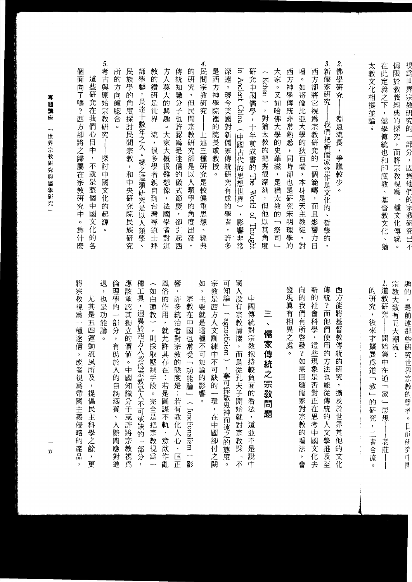| 將宗教視爲<br>一種迷信<br>,或者<br>視為帝國主義侵略的產品<br>,                                                      | 個<br>面<br>向了嗎?西方卻將之歸屬在宗教研究中。<br>爲<br>一什麼                                                                       |
|-----------------------------------------------------------------------------------------------|----------------------------------------------------------------------------------------------------------------|
| 尤<br>其是五<br>四<br>運動流風所及<br>$\cdot$<br>提倡民主科學之<br>餘<br>$\cdot$<br>更                            | 這<br>正些研<br>究在我們心目中<br>,不就是整個<br>中國<br>文化<br>的各                                                                |
| 退<br>也是<br>(功能<br>論<br>o                                                                      | 5.<br>考古<br>與原<br>始宗教<br>研究<br>探討<br>中國文化<br>的<br>起<br>源<br>٥                                                  |
| 倫<br>理學的<br>一部<br>分<br>,<br>有<br>助於<br>人的自制涵養、人際間應對進                                          | 所<br>的<br>方<br>向<br>頗牎合<br>٥                                                                                   |
| 應該承認其獨立的價值<br>$\circ$<br>中國知識分子或許將宗教視為                                                        | 民<br>族<br>學的<br>角度探討民間宗教,和中央研究院民族研究                                                                            |
| 種<br>$\mathbb{I}$<br>具<br>,迥異於西方人認為<br>宗教是人不可或缺的<br>部<br>分<br>$\overline{\phantom{a}}$        | 師<br>學藝<br>,長達十數年之久。<br>總之這類研究是以<br>人類學<br>$\ddot{\phantom{1}}$                                                |
| 如<br>白<br>蓮教),<br>則採取壓制手段。完全是把宗教視為<br>$\overline{\phantom{a}}$                                | 教<br>的<br>鑽<br>研是世界一<br>流<br>$\bar{\mathbf{z}}$<br>很多學者親自到台灣尋道士<br>拜                                           |
| 風<br>俗<br>的<br>作用<br>$\bullet$<br>就允許其存在;若是圖謀不軌<br>、意欲<br>作亂                                  | 方人莫大的興趣。大家大概很難想像<br>,法國學者對<br>道                                                                                |
| 響<br>$\pmb{\mathrm{y}}$<br>許<br>多統<br>治者對宗教的<br>態度是:若有教化人心、匡正                                 | 傳<br>統<br>知識<br>分子也許認為是迷信<br>的儀式節慶<br>$\cdot$<br>卻引<br>起<br>西                                                  |
| 宗教在<br>中國<br>也常受一功能論」<br>( functionalism )影                                                   | 的<br>硏<br>究<br>y<br>但<br>E<br>間宗教研究卻是<br>以<br>人類學的<br>角<br>度<br>$\widetilde{\mathbb{H}}$<br>叕<br>,             |
| 如<br>$\pmb{\mathrm{y}}$<br>主要就是這種不可知論<br>#的影響<br>ö                                            | 4.<br>民間宗教研究<br>$\begin{array}{c} \hline \end{array}$<br>上述三種研究是較偏重思想、經<br>典                                   |
| 宗教是西方人文訓練中不可<br>缺的<br>—.<br>環<br>,在中國卻付之闕                                                     | 是<br>西方神學院裡的院長或教授<br>$\circ$                                                                                   |
| 可<br>知論<br>$\frac{1}{\sqrt{2}}$<br>agnosticism) -<br>寧可採敬鬼神而遠之的<br>1態度<br>$\ddot{\mathbf{o}}$ | 深遠<br>$\circ$<br>現今美國對新儒家傳統研究有成的學者<br>$\overline{\phantom{a}}$<br>許<br>多                                       |
| 國<br>人没有宗<br>教情愫<br>,而是從孔夫子開始就對宗教採「不                                                          | $\Xi$<br>Ancient China<br>(中國古代的思想世界)<br>,影響非常                                                                 |
| 中<br>國<br>傳<br>統<br>對宗教抱持較負面<br>的<br>看法,這並不是說中                                                | 硏<br>究中國儒學,十年前成書的<br>The<br><br><b>World</b><br>of Thought                                                     |
| $\equiv$<br>$\ddot{\phantom{0}}$<br>儒<br>家傳<br>統<br>之宗教問題                                     | Kchen)<br>$\overline{\phantom{a}}$<br>對猶太教的把握很深<br>刻<br>,但他以其角度                                                |
|                                                                                               | 大家<br>$\circ$<br>又如<br>哈佛大學的<br>史華滋<br>$\ddot{\phantom{1}}$<br>是猶<br>云教<br>的<br>$\overline{\phantom{0}}$<br>祭司 |
| 發<br>現真有相異之處<br>o                                                                             | 西方<br>神學傳統非常熟悉<br>,同時卻也是研究宋明理<br>學<br>的                                                                        |
| 向<br>的<br>我<br>們<br>有<br>所<br>啓發?如果回<br>顧儒家對宗教的看法<br>,<br>會                                   | 增<br>¢<br>如哥<br>倫<br>比亞大學的<br>狄百瑞<br>,本身是天主教徒<br>,<br>對                                                        |
| 新<br>的<br>社<br>會<br>科<br>學<br>$\pmb{\cdot}$<br>這<br>些現象是否對正在思考中國文<br>化去                       | 西<br>方<br>卻將它<br>視為宗教研究的<br>一個範疇<br>,而且<br>影響<br>力<br>日                                                        |
| 傳統<br>$\frac{?}{\text{III}}$<br>他們<br>使用的方<br>法也能從傳統的人文學推<br> 及至                              | 3.新儒家研究<br>我們把新儒家當作是文化的<br>、哲學的<br>,                                                                           |
| 西方能將基督教傳統的<br>研究,擴及於世界其他的文化                                                                   | 2.<br>佛<br>學研究<br>淵遠流長<br>,爭議較少。                                                                               |

 $\overline{\phantom{a}}$ 

專題講座 「世界宗教研究與儒學研究」

---- $\overline{\mathbf{h}}$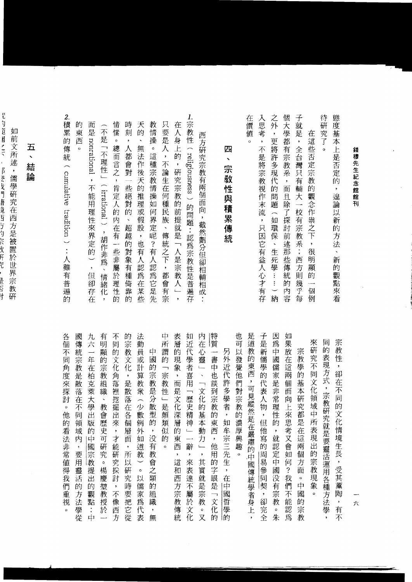| 態度基本上是否定的<br>$\bar{\mathbf{z}}$<br>遑論以新的方法、新的觀點來看                                               | 宗教性<br>$\overline{\mathbf{z}}$<br>卻在不同的文化情境生長,受其薰陶<br>,有不                                               |
|-------------------------------------------------------------------------------------------------|---------------------------------------------------------------------------------------------------------|
| 待<br>研究了<br>ö                                                                                   | 同<br>的<br>表現方式,宗教研究<br>就是要靈活運用各種方法學                                                                     |
| 在這<br>些否定宗教<br>的<br>觀念作祟之下<br>$\bar{\phantom{a}}$<br>很明顯<br>的<br>個<br>例                         | 來研究不同文化領域中所表現出的宗教現象<br>$\circ$                                                                          |
| 子就是<br>,全台灣只有輔大一校有宗教系;西方則幾<br>乎每                                                                | 宗教學<br>的基本研究都<br>i是在這一<br>兩個方<br>面<br>$\circ$<br>中<br>國<br>『的宗教                                         |
| 個大學都有宗教系<br>$\overline{\phantom{a}}$<br>而<br>且除了探討前<br>述那些傳統的<br>内<br>容                         | 如<br>(果放)<br>在這<br>兩<br>個<br>面<br>向上來思考又會<br>如<br>何<br>$\overline{\mathcal{E}}$<br>我們<br>不能<br>認<br>爲   |
| 之外,<br>更將許多現代的問題<br>$\overline{a}$<br>如環保<br>、生死學……)納                                           | 因為<br>中國儒家是非常理性的<br>y.<br>就認定中國没有宗教<br>。<br>朱                                                           |
| 入思考<br>$\cdot$<br>不是將宗教視作末流<br>,只因它有益人心才有存                                                      | 子是新儒<br>學的<br>代表人物,但他寫的周易參<br>同<br>契<br>$\overline{\phantom{a}}$<br>卻完全                                 |
| 在價值<br>o                                                                                        | 是道教的東西<br>,可見縱然是<br>在嚴肅的<br>中國傳統學者身上<br>$\bar{\star}$                                                   |
|                                                                                                 | 也可<br>以發覺他們對宗教的濃厚興趣<br>$\alpha$                                                                         |
| 四<br>$\blacktriangleright$<br>宗敎性與積累傳統                                                          | 另外近代<br>許多學者,<br>如牟宗三先生<br>$\bar{\boldsymbol{\theta}}$<br>在<br>沖<br>國<br>哲學<br>的                        |
|                                                                                                 | 特質<br>——<br>書中也談到宗教的東西,<br>他用的字眼是<br>一文化的                                                               |
| 西方<br>研究宗教有兩個面向,<br>截然劃分但卻相<br> 輔相成                                                             | 内<br>在心靈」<br>、「文化的基本動力」<br>,<br>其實就是宗教<br>$\overline{\mathbf{x}}$                                       |
| 1.宗教性<br>( religiousness ) 的問題:認為宗教性是普遍存                                                        | 如近代學者喜用<br>「歷史精神<br>$\frac{1}{\sqrt{1-\frac{1}{2}}}$<br>辭<br>$\bullet$<br>來表達不屬於文化                      |
| 在<br>人身上<br>的,研究宗教的前提就是「人是宗教人」<br>$\overline{\phantom{a}}$                                      | 表層<br>的現象<br>,而是文化深層的東西<br>$\,$<br>這和西方宗教傳統                                                             |
| 只要是人<br>$\overline{\phantom{a}}$<br>不論生在<br>何種民<br>族<br>$\bar{\mathbf{v}}$<br>傳統之下,<br>都<br>會有宗 | 中<br>所<br>謂<br>的<br>$\overline{\phantom{0}}$<br>宗教<br>性<br>」是頗類<br>一似的<br>$\circ$                       |
| 教<br>情<br>操<br>$\circ$<br>這種宗教情操如何界定呢?有人認為它是先                                                   | 中國<br>的宗教是分散型的<br>$\cdot$<br>没有教會之類的<br>組<br>織<br>$\overline{\phantom{a}}$<br>無                         |
| 天<br>的<br>Ń<br>無法作後天的推理或假設<br>,也有人認為在某些                                                         | 法<br>動員或計算教衆(少數例<br>外如道教<br>$\overline{\phantom{0}}$<br>$\circ$<br>以儒<br>家為代表                           |
| 時<br>刻<br>$\pmb{\cdot}$<br>人都會對<br>一些絕對<br>的<br>、超越的對象有種倚靠<br>的                                 | 的宗<br>数文化<br>$\cdot$<br>是散落在各個<br>層面<br>$\, ,$<br>所<br>以研<br>究時<br>要把它<br>從                             |
| 情<br>愫<br>$\mathbf{o}$<br>總而言之<br>$\overline{\phantom{a}}$<br>肯定人的内在有一些非屬<br>於理性<br>的           | 不同<br>的文化<br>角落裡挖掘出來<br>$\overline{\phantom{0}}$<br>才能<br>研究採討<br>$\overline{\phantom{a}}$<br>不像<br>西方  |
| ∽<br>不是<br>「不理性」<br>(irrational ),胡作非為<br>$\bar{\mathbf{v}}$<br>情緒化<br>$\overline{\phantom{a}}$ | 有<br>明<br>顯<br>的<br>宗<br>教<br>組<br>織<br>、教會歷<br>史可<br>硏<br>究<br>$\circ$<br>楊<br>慶<br>堃<br>教授<br>於<br>L, |
| 而是 nomational<br>$\bar{\star}$<br>不能用理性來界定的),但卻存在                                               | 九六<br>一年在柏克萊大學出<br>版的中國宗<br>教提<br>出<br>的<br>觀點<br>$\ddot{\cdot}$<br>中                                   |
| 的<br>東西                                                                                         | 國傳統宗教是散落在不同領域内<br>,要用靈活<br>的<br>方法學從                                                                    |
| 2.<br>積累的傳統<br>(cumulative)<br>tradition ) : 人雖有普遍的                                             | 各<br>個<br>不同角度來探討<br>$\circ$<br>他的<br>看法非常值得我<br>們<br>重<br>視<br>$\circ$                                 |

錢穆先生紀念館館刊

 $\hat{\mathcal{L}}$ 

ー六